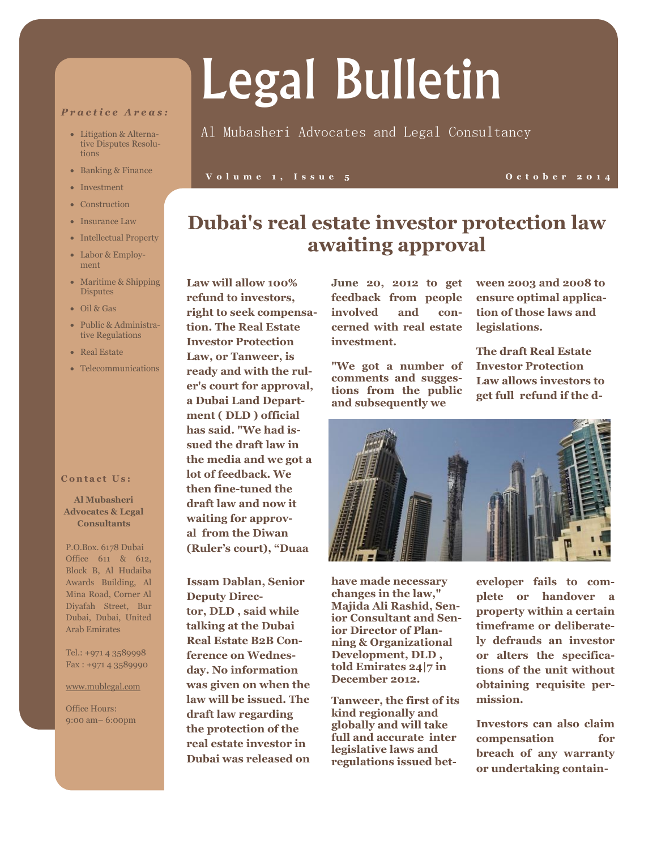### *P r a c t i c e A r e a s :*

- Litigation & Alternative Disputes Resolutions
- Banking & Finance
- Investment
- Construction
- Insurance Law
- Intellectual Property
- Labor & Employment
- Maritime & Shipping **Disputes**
- Oil & Gas
- Public & Administrative Regulations
- Real Estate
- Telecommunications

### **Contact Us:**

**Al Mubasheri Advocates & Legal Consultants**

P.O.Box. 6178 Dubai Office 611 & 612, Block B, Al Hudaiba Awards Building, Al Mina Road, Corner Al Diyafah Street, Bur Dubai, Dubai, United Arab Emirates

Tel.: +971 4 3589998 Fax : +971 4 3589990

### www.mublegal.com

Office Hours: 9:00 am– 6:00pm

# Legal Bulletin

## Al Mubasheri Advocates and Legal Consultancy

### **V o l u m e 1 , I s s u e 5 O c t o b e r 2 0 1 4**

# **Dubai's real estate investor protection law awaiting approval**

**Law will allow 100% refund to investors, right to seek compensation. The Real Estate Investor Protection Law, or Tanweer, is ready and with the ruler's court for approval, a [Dubai Land Depart](https://www.zawya.com/middle-east/company/profile/1001048/Dubai_Land_Department/)[ment](https://www.zawya.com/middle-east/company/profile/1001048/Dubai_Land_Department/) ( [DLD](https://www.zawya.com/middle-east/company/profile/1001048/DLD/) ) official has said. "We had issued the draft law in the media and we got a lot of feedback. We then fine-tuned the draft law and now it waiting for approval from the Diwan (Ruler's court), "Duaa**

**Issam Dablan, Senior Deputy Director, [DLD](https://www.zawya.com/middle-east/company/profile/1001048/DLD/) , said while talking at the Dubai Real Estate B2B Conference on Wednesday. No information was given on when the law will be issued. The draft law regarding the protection of the real estate investor in Dubai was released on** 

**June 20, 2012 to get feedback from people involved and concerned with real estate investment.** 

**"We got a number of comments and suggestions from the public and subsequently we** 

**ween 2003 and 2008 to ensure optimal application of those laws and legislations.** 

**The draft Real Estate Investor Protection Law allows investors to get full refund if the d-**



**have made necessary changes in the law," Majida Ali Rashid, Senior Consultant and Senior Director of Planning & Organizational Development, [DLD](https://www.zawya.com/middle-east/company/profile/1001048/DLD/) , told Emirates 24|7 in December 2012.** 

**Tanweer, the first of its kind regionally and globally and will take full and accurate inter legislative laws and regulations issued bet-** **eveloper fails to complete or handover a property within a certain timeframe or deliberately defrauds an investor or alters the specifications of the unit without obtaining requisite permission.** 

**Investors can also claim compensation for breach of any warranty or undertaking contain-**